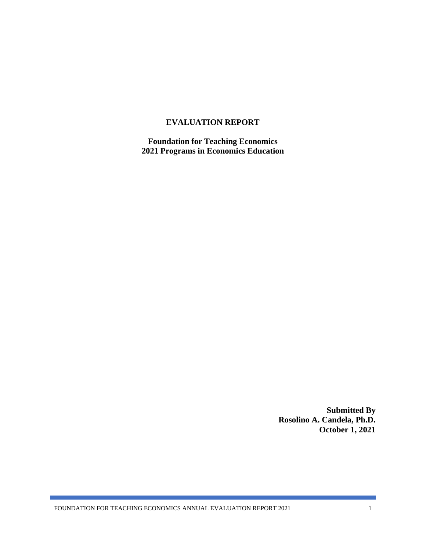#### **EVALUATION REPORT**

**Foundation for Teaching Economics 2021 Programs in Economics Education**

> **Submitted By Rosolino A. Candela, Ph.D. October 1, 2021**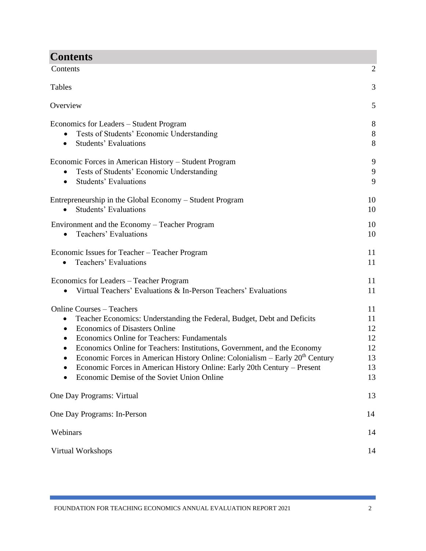| <b>Contents</b>                                                                                                                                                                                                                                                                                                                                                                                                                                                                                                                     |                     |  |
|-------------------------------------------------------------------------------------------------------------------------------------------------------------------------------------------------------------------------------------------------------------------------------------------------------------------------------------------------------------------------------------------------------------------------------------------------------------------------------------------------------------------------------------|---------------------|--|
| Contents<br>$\overline{2}$                                                                                                                                                                                                                                                                                                                                                                                                                                                                                                          |                     |  |
| Tables                                                                                                                                                                                                                                                                                                                                                                                                                                                                                                                              | 3                   |  |
| Overview                                                                                                                                                                                                                                                                                                                                                                                                                                                                                                                            | 5                   |  |
| Economics for Leaders – Student Program<br>Tests of Students' Economic Understanding<br><b>Students' Evaluations</b><br>$\bullet$                                                                                                                                                                                                                                                                                                                                                                                                   | $8\,$<br>$8\,$<br>8 |  |
| Economic Forces in American History - Student Program<br>Tests of Students' Economic Understanding<br>$\bullet$<br>Students' Evaluations<br>$\bullet$                                                                                                                                                                                                                                                                                                                                                                               | 9<br>9<br>9         |  |
| Entrepreneurship in the Global Economy – Student Program<br><b>Students' Evaluations</b>                                                                                                                                                                                                                                                                                                                                                                                                                                            | 10<br>10            |  |
| Environment and the Economy – Teacher Program<br>Teachers' Evaluations<br>$\bullet$                                                                                                                                                                                                                                                                                                                                                                                                                                                 | 10<br>10            |  |
| Economic Issues for Teacher - Teacher Program<br>Teachers' Evaluations<br>$\bullet$                                                                                                                                                                                                                                                                                                                                                                                                                                                 | 11<br>11            |  |
| Economics for Leaders - Teacher Program<br>Virtual Teachers' Evaluations & In-Person Teachers' Evaluations                                                                                                                                                                                                                                                                                                                                                                                                                          |                     |  |
| <b>Online Courses - Teachers</b><br>Teacher Economics: Understanding the Federal, Budget, Debt and Deficits<br>$\bullet$<br><b>Economics of Disasters Online</b><br>٠<br>Economics Online for Teachers: Fundamentals<br>$\bullet$<br>Economics Online for Teachers: Institutions, Government, and the Economy<br>Economic Forces in American History Online: Colonialism - Early 20 <sup>th</sup> Century<br>Economic Forces in American History Online: Early 20th Century - Present<br>Economic Demise of the Soviet Union Online |                     |  |
| One Day Programs: Virtual                                                                                                                                                                                                                                                                                                                                                                                                                                                                                                           | 13                  |  |
| One Day Programs: In-Person                                                                                                                                                                                                                                                                                                                                                                                                                                                                                                         |                     |  |
| Webinars                                                                                                                                                                                                                                                                                                                                                                                                                                                                                                                            |                     |  |
| Virtual Workshops                                                                                                                                                                                                                                                                                                                                                                                                                                                                                                                   |                     |  |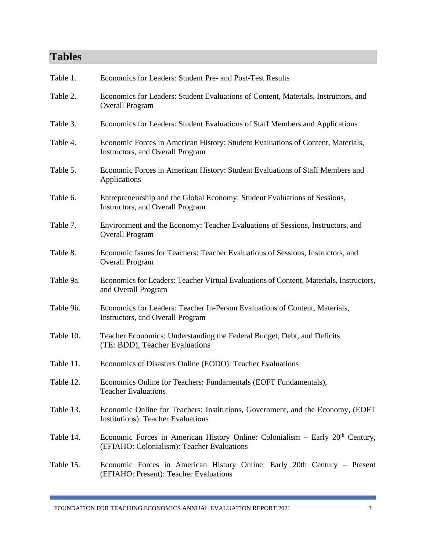# **Tables**

| Table 1.  | Economics for Leaders: Student Pre- and Post-Test Results                                                                     |
|-----------|-------------------------------------------------------------------------------------------------------------------------------|
| Table 2.  | Economics for Leaders: Student Evaluations of Content, Materials, Instructors, and<br><b>Overall Program</b>                  |
| Table 3.  | Economics for Leaders: Student Evaluations of Staff Members and Applications                                                  |
| Table 4.  | Economic Forces in American History: Student Evaluations of Content, Materials,<br><b>Instructors, and Overall Program</b>    |
| Table 5.  | Economic Forces in American History: Student Evaluations of Staff Members and<br>Applications                                 |
| Table 6.  | Entrepreneurship and the Global Economy: Student Evaluations of Sessions,<br><b>Instructors, and Overall Program</b>          |
| Table 7.  | Environment and the Economy: Teacher Evaluations of Sessions, Instructors, and<br><b>Overall Program</b>                      |
| Table 8.  | Economic Issues for Teachers: Teacher Evaluations of Sessions, Instructors, and<br><b>Overall Program</b>                     |
| Table 9a. | Economics for Leaders: Teacher Virtual Evaluations of Content, Materials, Instructors,<br>and Overall Program                 |
| Table 9b. | Economics for Leaders: Teacher In-Person Evaluations of Content, Materials,<br>Instructors, and Overall Program               |
| Table 10. | Teacher Economics: Understanding the Federal Budget, Debt, and Deficits<br>(TE: BDD), Teacher Evaluations                     |
| Table 11. | Economics of Disasters Online (EODO): Teacher Evaluations                                                                     |
| Table 12. | Economics Online for Teachers: Fundamentals (EOFT Fundamentals),<br><b>Teacher Evaluations</b>                                |
| Table 13. | Economic Online for Teachers: Institutions, Government, and the Economy, (EOFT)<br><b>Institutions: Teacher Evaluations</b>   |
| Table 14. | Economic Forces in American History Online: Colonialism – Early $20th$ Century,<br>(EFIAHO: Colonialism): Teacher Evaluations |
| Table 15. | Economic Forces in American History Online: Early 20th Century – Present<br>(EFIAHO: Present): Teacher Evaluations            |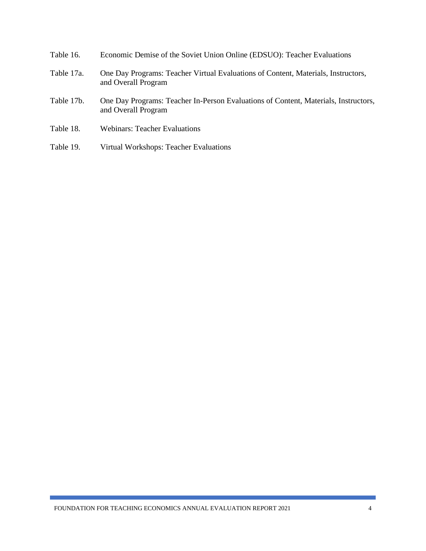| Table 16.  | Economic Demise of the Soviet Union Online (EDSUO): Teacher Evaluations                                    |
|------------|------------------------------------------------------------------------------------------------------------|
| Table 17a. | One Day Programs: Teacher Virtual Evaluations of Content, Materials, Instructors,<br>and Overall Program   |
| Table 17b. | One Day Programs: Teacher In-Person Evaluations of Content, Materials, Instructors,<br>and Overall Program |
| Table 18.  | <b>Webinars: Teacher Evaluations</b>                                                                       |
| Table 19.  | Virtual Workshops: Teacher Evaluations                                                                     |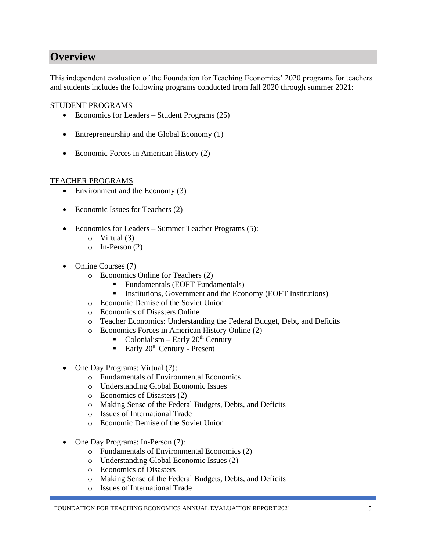# **Overview**

This independent evaluation of the Foundation for Teaching Economics' 2020 programs for teachers and students includes the following programs conducted from fall 2020 through summer 2021:

#### STUDENT PROGRAMS

- Economics for Leaders Student Programs (25)
- Entrepreneurship and the Global Economy (1)
- Economic Forces in American History (2)

#### TEACHER PROGRAMS

- Environment and the Economy (3)
- Economic Issues for Teachers (2)
- Economics for Leaders Summer Teacher Programs (5):
	- o Virtual (3)
	- o In-Person (2)
- Online Courses (7)
	- o Economics Online for Teachers (2)
		- Fundamentals (EOFT Fundamentals)
		- Institutions, Government and the Economy (EOFT Institutions)
	- o Economic Demise of the Soviet Union
	- o Economics of Disasters Online
	- o Teacher Economics: Understanding the Federal Budget, Debt, and Deficits
	- o Economics Forces in American History Online (2)
		- Colonialism Early  $20^{th}$  Century
		- **Early 20<sup>th</sup> Century Present**
- One Day Programs: Virtual (7):
	- o Fundamentals of Environmental Economics
	- o Understanding Global Economic Issues
	- o Economics of Disasters (2)
	- o Making Sense of the Federal Budgets, Debts, and Deficits
	- o Issues of International Trade
	- o Economic Demise of the Soviet Union
- One Day Programs: In-Person (7):
	- o Fundamentals of Environmental Economics (2)
	- o Understanding Global Economic Issues (2)
	- o Economics of Disasters
	- o Making Sense of the Federal Budgets, Debts, and Deficits
	- o Issues of International Trade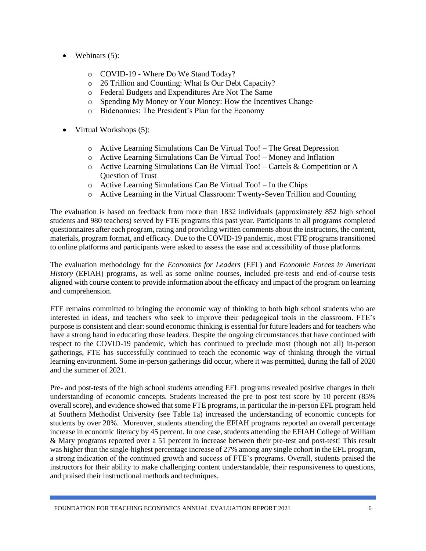- Webinars  $(5)$ :
	- o COVID-19 Where Do We Stand Today?
	- o 26 Trillion and Counting: What Is Our Debt Capacity?
	- o Federal Budgets and Expenditures Are Not The Same
	- o Spending My Money or Your Money: How the Incentives Change
	- o Bidenomics: The President's Plan for the Economy
- Virtual Workshops (5):
	- o Active Learning Simulations Can Be Virtual Too! The Great Depression
	- o Active Learning Simulations Can Be Virtual Too! Money and Inflation
	- o Active Learning Simulations Can Be Virtual Too! Cartels & Competition or A Question of Trust
	- o Active Learning Simulations Can Be Virtual Too! In the Chips
	- o Active Learning in the Virtual Classroom: Twenty-Seven Trillion and Counting

The evaluation is based on feedback from more than 1832 individuals (approximately 852 high school students and 980 teachers) served by FTE programs this past year. Participants in all programs completed questionnaires after each program, rating and providing written comments about the instructors, the content, materials, program format, and efficacy. Due to the COVID-19 pandemic, most FTE programs transitioned to online platforms and participants were asked to assess the ease and accessibility of those platforms.

The evaluation methodology for the *Economics for Leaders* (EFL) and *Economic Forces in American History* (EFIAH) programs, as well as some online courses, included pre-tests and end-of-course tests aligned with course content to provide information about the efficacy and impact of the program on learning and comprehension.

FTE remains committed to bringing the economic way of thinking to both high school students who are interested in ideas, and teachers who seek to improve their pedagogical tools in the classroom. FTE's purpose is consistent and clear: sound economic thinking is essential for future leaders and for teachers who have a strong hand in educating those leaders. Despite the ongoing circumstances that have continued with respect to the COVID-19 pandemic, which has continued to preclude most (though not all) in-person gatherings, FTE has successfully continued to teach the economic way of thinking through the virtual learning environment. Some in-person gatherings did occur, where it was permitted, during the fall of 2020 and the summer of 2021.

Pre- and post-tests of the high school students attending EFL programs revealed positive changes in their understanding of economic concepts. Students increased the pre to post test score by 10 percent (85% overall score), and evidence showed that some FTE programs, in particular the in-person EFL program held at Southern Methodist University (see Table 1a) increased the understanding of economic concepts for students by over 20%. Moreover, students attending the EFIAH programs reported an overall percentage increase in economic literacy by 45 percent. In one case, students attending the EFIAH College of William & Mary programs reported over a 51 percent in increase between their pre-test and post-test! This result was higher than the single-highest percentage increase of 27% among any single cohort in the EFL program, a strong indication of the continued growth and success of FTE's programs. Overall, students praised the instructors for their ability to make challenging content understandable, their responsiveness to questions, and praised their instructional methods and techniques.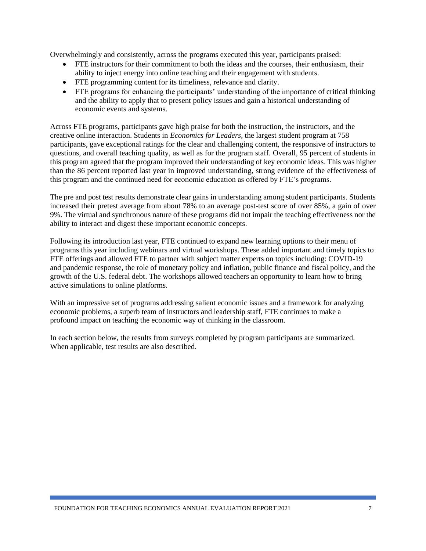Overwhelmingly and consistently, across the programs executed this year, participants praised:

- FTE instructors for their commitment to both the ideas and the courses, their enthusiasm, their ability to inject energy into online teaching and their engagement with students.
- FTE programming content for its timeliness, relevance and clarity.
- FTE programs for enhancing the participants' understanding of the importance of critical thinking and the ability to apply that to present policy issues and gain a historical understanding of economic events and systems.

Across FTE programs, participants gave high praise for both the instruction, the instructors, and the creative online interaction. Students in *Economics for Leaders*, the largest student program at 758 participants, gave exceptional ratings for the clear and challenging content, the responsive of instructors to questions, and overall teaching quality, as well as for the program staff. Overall, 95 percent of students in this program agreed that the program improved their understanding of key economic ideas. This was higher than the 86 percent reported last year in improved understanding, strong evidence of the effectiveness of this program and the continued need for economic education as offered by FTE's programs.

The pre and post test results demonstrate clear gains in understanding among student participants. Students increased their pretest average from about 78% to an average post-test score of over 85%, a gain of over 9%. The virtual and synchronous nature of these programs did not impair the teaching effectiveness nor the ability to interact and digest these important economic concepts.

Following its introduction last year, FTE continued to expand new learning options to their menu of programs this year including webinars and virtual workshops. These added important and timely topics to FTE offerings and allowed FTE to partner with subject matter experts on topics including: COVID-19 and pandemic response, the role of monetary policy and inflation, public finance and fiscal policy, and the growth of the U.S. federal debt. The workshops allowed teachers an opportunity to learn how to bring active simulations to online platforms.

With an impressive set of programs addressing salient economic issues and a framework for analyzing economic problems, a superb team of instructors and leadership staff, FTE continues to make a profound impact on teaching the economic way of thinking in the classroom.

In each section below, the results from surveys completed by program participants are summarized. When applicable, test results are also described.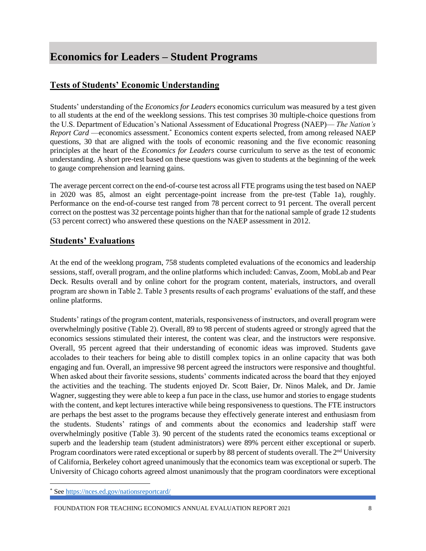# **Economics for Leaders – Student Programs**

### **Tests of Students' Economic Understanding**

Students' understanding of the *Economics for Leaders* economics curriculum was measured by a test given to all students at the end of the weeklong sessions. This test comprises 30 multiple-choice questions from the U.S. Department of Education's National Assessment of Educational Progress (NAEP)— *The Nation's Report Card* —economics assessment.\* Economics content experts selected, from among released NAEP questions, 30 that are aligned with the tools of economic reasoning and the five economic reasoning principles at the heart of the *Economics for Leaders* course curriculum to serve as the test of economic understanding. A short pre-test based on these questions was given to students at the beginning of the week to gauge comprehension and learning gains.

The average percent correct on the end-of-course test across all FTE programs using the test based on NAEP in 2020 was 85, almost an eight percentage-point increase from the pre-test (Table 1a), roughly. Performance on the end-of-course test ranged from 78 percent correct to 91 percent. The overall percent correct on the posttest was 32 percentage points higher than that for the national sample of grade 12 students (53 percent correct) who answered these questions on the NAEP assessment in 2012.

#### **Students' Evaluations**

At the end of the weeklong program, 758 students completed evaluations of the economics and leadership sessions, staff, overall program, and the online platforms which included: Canvas, Zoom, MobLab and Pear Deck. Results overall and by online cohort for the program content, materials, instructors, and overall program are shown in Table 2. Table 3 presents results of each programs' evaluations of the staff, and these online platforms.

Students' ratings of the program content, materials, responsiveness of instructors, and overall program were overwhelmingly positive (Table 2). Overall, 89 to 98 percent of students agreed or strongly agreed that the economics sessions stimulated their interest, the content was clear, and the instructors were responsive. Overall, 95 percent agreed that their understanding of economic ideas was improved. Students gave accolades to their teachers for being able to distill complex topics in an online capacity that was both engaging and fun. Overall, an impressive 98 percent agreed the instructors were responsive and thoughtful. When asked about their favorite sessions, students' comments indicated across the board that they enjoyed the activities and the teaching. The students enjoyed Dr. Scott Baier, Dr. Ninos Malek, and Dr. Jamie Wagner, suggesting they were able to keep a fun pace in the class, use humor and stories to engage students with the content, and kept lectures interactive while being responsiveness to questions. The FTE instructors are perhaps the best asset to the programs because they effectively generate interest and enthusiasm from the students. Students' ratings of and comments about the economics and leadership staff were overwhelmingly positive (Table 3). 90 percent of the students rated the economics teams exceptional or superb and the leadership team (student administrators) were 89% percent either exceptional or superb. Program coordinators were rated exceptional or superb by 88 percent of students overall. The  $2<sup>nd</sup>$  University of California, Berkeley cohort agreed unanimously that the economics team was exceptional or superb. The University of Chicago cohorts agreed almost unanimously that the program coordinators were exceptional

FOUNDATION FOR TEACHING ECONOMICS ANNUAL EVALUATION REPORT 2021 8

Se[e https://nces.ed.gov/nationsreportcard/](https://nces.ed.gov/nationsreportcard/)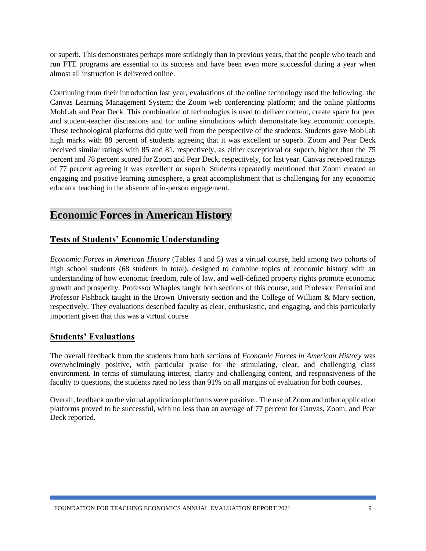or superb. This demonstrates perhaps more strikingly than in previous years, that the people who teach and run FTE programs are essential to its success and have been even more successful during a year when almost all instruction is delivered online.

Continuing from their introduction last year, evaluations of the online technology used the following: the Canvas Learning Management System; the Zoom web conferencing platform; and the online platforms MobLab and Pear Deck. This combination of technologies is used to deliver content, create space for peer and student-teacher discussions and for online simulations which demonstrate key economic concepts. These technological platforms did quite well from the perspective of the students. Students gave MobLab high marks with 88 percent of students agreeing that it was excellent or superb. Zoom and Pear Deck received similar ratings with 85 and 81, respectively, as either exceptional or superb, higher than the 75 percent and 78 percent scored for Zoom and Pear Deck, respectively, for last year. Canvas received ratings of 77 percent agreeing it was excellent or superb. Students repeatedly mentioned that Zoom created an engaging and positive learning atmosphere, a great accomplishment that is challenging for any economic educator teaching in the absence of in-person engagement.

# **Economic Forces in American History**

### **Tests of Students' Economic Understanding**

*Economic Forces in American History* (Tables 4 and 5) was a virtual course, held among two cohorts of high school students (68 students in total), designed to combine topics of economic history with an understanding of how economic freedom, rule of law, and well-defined property rights promote economic growth and prosperity. Professor Whaples taught both sections of this course, and Professor Ferrarini and Professor Fishback taught in the Brown University section and the College of William & Mary section, respectively. They evaluations described faculty as clear, enthusiastic, and engaging, and this particularly important given that this was a virtual course.

#### **Students' Evaluations**

The overall feedback from the students from both sections of *Economic Forces in American History* was overwhelmingly positive, with particular praise for the stimulating, clear, and challenging class environment. In terms of stimulating interest, clarity and challenging content, and responsiveness of the faculty to questions, the students rated no less than 91% on all margins of evaluation for both courses.

Overall, feedback on the virtual application platforms were positive., The use of Zoom and other application platforms proved to be successful, with no less than an average of 77 percent for Canvas, Zoom, and Pear Deck reported.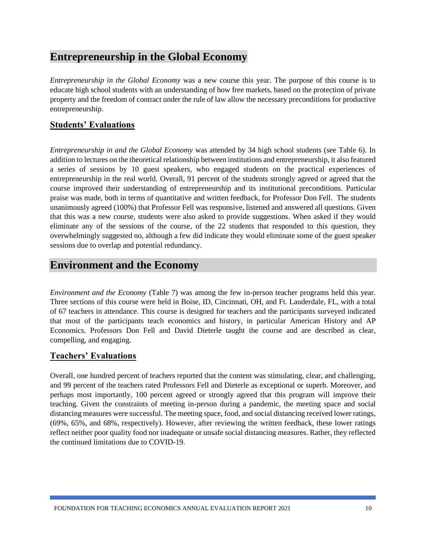# **Entrepreneurship in the Global Economy**

*Entrepreneurship in the Global Economy* was a new course this year. The purpose of this course is to educate high school students with an understanding of how free markets, based on the protection of private property and the freedom of contract under the rule of law allow the necessary preconditions for productive entrepreneurship.

### **Students' Evaluations**

*Entrepreneurship in and the Global Economy* was attended by 34 high school students (see Table 6). In addition to lectures on the theoretical relationship between institutions and entrepreneurship, it also featured a series of sessions by 10 guest speakers, who engaged students on the practical experiences of entrepreneurship in the real world. Overall, 91 percent of the students strongly agreed or agreed that the course improved their understanding of entrepreneurship and its institutional preconditions. Particular praise was made, both in terms of quantitative and written feedback, for Professor Don Fell. The students unanimously agreed (100%) that Professor Fell was responsive, listened and answered all questions. Given that this was a new course, students were also asked to provide suggestions. When asked if they would eliminate any of the sessions of the course, of the 22 students that responded to this question, they overwhelmingly suggested no, although a few did indicate they would eliminate some of the guest speaker sessions due to overlap and potential redundancy.

### **Environment and the Economy**

*Environment and the Economy* (Table 7) was among the few in-person teacher programs held this year. Three sections of this course were held in Boise, ID, Cincinnati, OH, and Ft. Lauderdale, FL, with a total of 67 teachers in attendance. This course is designed for teachers and the participants surveyed indicated that most of the participants teach economics and history, in particular American History and AP Economics. Professors Don Fell and David Dieterle taught the course and are described as clear, compelling, and engaging.

#### **Teachers' Evaluations**

Overall, one hundred percent of teachers reported that the content was stimulating, clear, and challenging, and 99 percent of the teachers rated Professors Fell and Dieterle as exceptional or superb. Moreover, and perhaps most importantly, 100 percent agreed or strongly agreed that this program will improve their teaching. Given the constraints of meeting in-person during a pandemic, the meeting space and social distancing measures were successful. The meeting space, food, and social distancing received lower ratings, (69%, 65%, and 68%, respectively). However, after reviewing the written feedback, these lower ratings reflect neither poor quality food nor inadequate or unsafe social distancing measures. Rather, they reflected the continued limitations due to COVID-19.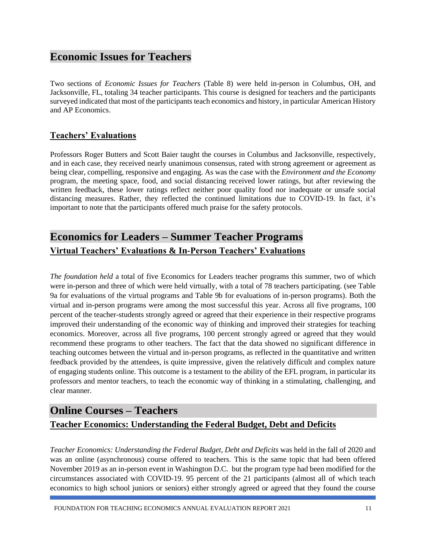# **Economic Issues for Teachers**

Two sections of *Economic Issues for Teachers* (Table 8) were held in-person in Columbus, OH, and Jacksonville, FL, totaling 34 teacher participants. This course is designed for teachers and the participants surveyed indicated that most of the participants teach economics and history, in particular American History and AP Economics.

### **Teachers' Evaluations**

Professors Roger Butters and Scott Baier taught the courses in Columbus and Jacksonville, respectively, and in each case, they received nearly unanimous consensus, rated with strong agreement or agreement as being clear, compelling, responsive and engaging. As was the case with the *Environment and the Economy* program, the meeting space, food, and social distancing received lower ratings, but after reviewing the written feedback, these lower ratings reflect neither poor quality food nor inadequate or unsafe social distancing measures. Rather, they reflected the continued limitations due to COVID-19. In fact, it's important to note that the participants offered much praise for the safety protocols.

# **Economics for Leaders – Summer Teacher Programs Virtual Teachers' Evaluations & In-Person Teachers' Evaluations**

*The foundation held* a total of five Economics for Leaders teacher programs this summer, two of which were in-person and three of which were held virtually, with a total of 78 teachers participating. (see Table 9a for evaluations of the virtual programs and Table 9b for evaluations of in-person programs). Both the virtual and in-person programs were among the most successful this year. Across all five programs, 100 percent of the teacher-students strongly agreed or agreed that their experience in their respective programs improved their understanding of the economic way of thinking and improved their strategies for teaching economics. Moreover, across all five programs, 100 percent strongly agreed or agreed that they would recommend these programs to other teachers. The fact that the data showed no significant difference in teaching outcomes between the virtual and in-person programs, as reflected in the quantitative and written feedback provided by the attendees, is quite impressive, given the relatively difficult and complex nature of engaging students online. This outcome is a testament to the ability of the EFL program, in particular its professors and mentor teachers, to teach the economic way of thinking in a stimulating, challenging, and clear manner.

## **Online Courses – Teachers**

### **Teacher Economics: Understanding the Federal Budget, Debt and Deficits**

*Teacher Economics: Understanding the Federal Budget, Debt and Deficits* was held in the fall of 2020 and was an online (asynchronous) course offered to teachers. This is the same topic that had been offered November 2019 as an in-person event in Washington D.C. but the program type had been modified for the circumstances associated with COVID-19. 95 percent of the 21 participants (almost all of which teach economics to high school juniors or seniors) either strongly agreed or agreed that they found the course

FOUNDATION FOR TEACHING ECONOMICS ANNUAL EVALUATION REPORT 2021 11 11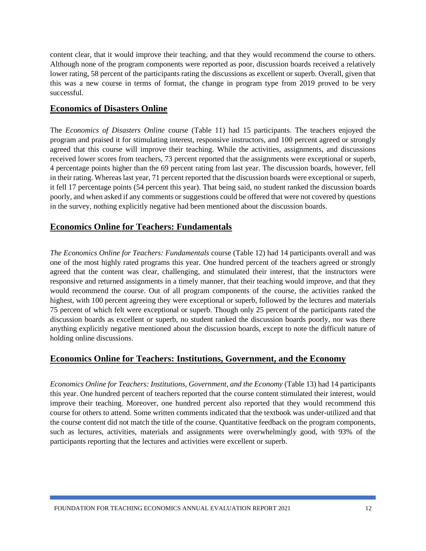content clear, that it would improve their teaching, and that they would recommend the course to others. Although none of the program components were reported as poor, discussion boards received a relatively lower rating, 58 percent of the participants rating the discussions as excellent or superb. Overall, given that this was a new course in terms of format, the change in program type from 2019 proved to be very successful.

#### **Economics of Disasters Online**

The *Economics of Disasters Online* course (Table 11) had 15 participants. The teachers enjoyed the program and praised it for stimulating interest, responsive instructors, and 100 percent agreed or strongly agreed that this course will improve their teaching. While the activities, assignments, and discussions received lower scores from teachers, 73 percent reported that the assignments were exceptional or superb, 4 percentage points higher than the 69 percent rating from last year. The discussion boards, however, fell in their rating. Whereas last year, 71 percent reported that the discussion boards were exceptional or superb, it fell 17 percentage points (54 percent this year). That being said, no student ranked the discussion boards poorly, and when asked if any comments or suggestions could be offered that were not covered by questions in the survey, nothing explicitly negative had been mentioned about the discussion boards.

#### **Economics Online for Teachers: Fundamentals**

*The Economics Online for Teachers: Fundamentals* course (Table 12) had 14 participants overall and was one of the most highly rated programs this year. One hundred percent of the teachers agreed or strongly agreed that the content was clear, challenging, and stimulated their interest, that the instructors were responsive and returned assignments in a timely manner, that their teaching would improve, and that they would recommend the course. Out of all program components of the course, the activities ranked the highest, with 100 percent agreeing they were exceptional or superb, followed by the lectures and materials 75 percent of which felt were exceptional or superb. Though only 25 percent of the participants rated the discussion boards as excellent or superb, no student ranked the discussion boards poorly, nor was there anything explicitly negative mentioned about the discussion boards, except to note the difficult nature of holding online discussions.

#### **Economics Online for Teachers: Institutions, Government, and the Economy**

*Economics Online for Teachers: Institutions, Government, and the Economy* (Table 13) had 14 participants this year. One hundred percent of teachers reported that the course content stimulated their interest, would improve their teaching. Moreover, one hundred percent also reported that they would recommend this course for others to attend. Some written comments indicated that the textbook was under-utilized and that the course content did not match the title of the course. Quantitative feedback on the program components, such as lectures, activities, materials and assignments were overwhelmingly good, with 93% of the participants reporting that the lectures and activities were excellent or superb.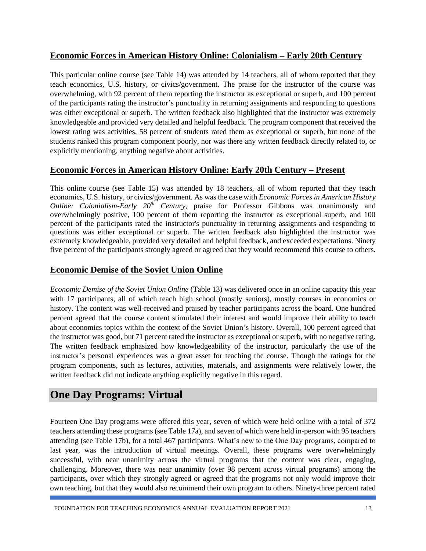#### **Economic Forces in American History Online: Colonialism – Early 20th Century**

This particular online course (see Table 14) was attended by 14 teachers, all of whom reported that they teach economics, U.S. history, or civics/government. The praise for the instructor of the course was overwhelming, with 92 percent of them reporting the instructor as exceptional or superb, and 100 percent of the participants rating the instructor's punctuality in returning assignments and responding to questions was either exceptional or superb. The written feedback also highlighted that the instructor was extremely knowledgeable and provided very detailed and helpful feedback. The program component that received the lowest rating was activities, 58 percent of students rated them as exceptional or superb, but none of the students ranked this program component poorly, nor was there any written feedback directly related to, or explicitly mentioning, anything negative about activities.

### **Economic Forces in American History Online: Early 20th Century – Present**

This online course (see Table 15) was attended by 18 teachers, all of whom reported that they teach economics, U.S. history, or civics/government. As was the case with *Economic Forces in American History Online: Colonialism-Early 20th Century*, praise for Professor Gibbons was unanimously and overwhelmingly positive, 100 percent of them reporting the instructor as exceptional superb, and 100 percent of the participants rated the instructor's punctuality in returning assignments and responding to questions was either exceptional or superb. The written feedback also highlighted the instructor was extremely knowledgeable, provided very detailed and helpful feedback, and exceeded expectations. Ninety five percent of the participants strongly agreed or agreed that they would recommend this course to others.

#### **Economic Demise of the Soviet Union Online**

*Economic Demise of the Soviet Union Online* (Table 13) was delivered once in an online capacity this year with 17 participants, all of which teach high school (mostly seniors), mostly courses in economics or history. The content was well-received and praised by teacher participants across the board. One hundred percent agreed that the course content stimulated their interest and would improve their ability to teach about economics topics within the context of the Soviet Union's history. Overall, 100 percent agreed that the instructor was good, but 71 percent rated the instructor as exceptional or superb, with no negative rating. The written feedback emphasized how knowledgeability of the instructor, particularly the use of the instructor's personal experiences was a great asset for teaching the course. Though the ratings for the program components, such as lectures, activities, materials, and assignments were relatively lower, the written feedback did not indicate anything explicitly negative in this regard.

## **One Day Programs: Virtual**

Fourteen One Day programs were offered this year, seven of which were held online with a total of 372 teachers attending these programs (see Table 17a), and seven of which were held in-person with 95 teachers attending (see Table 17b), for a total 467 participants. What's new to the One Day programs, compared to last year, was the introduction of virtual meetings. Overall, these programs were overwhelmingly successful, with near unanimity across the virtual programs that the content was clear, engaging, challenging. Moreover, there was near unanimity (over 98 percent across virtual programs) among the participants, over which they strongly agreed or agreed that the programs not only would improve their own teaching, but that they would also recommend their own program to others. Ninety-three percent rated